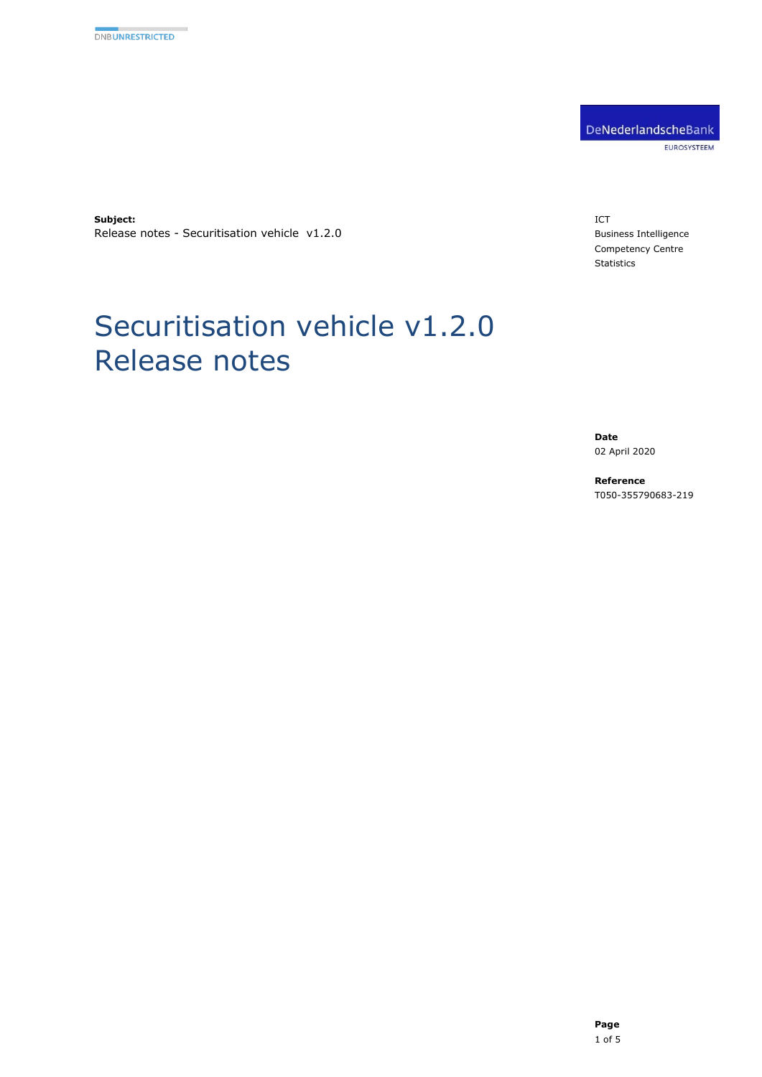DeNederlandscheBank EUROSYSTEEM

**Subject:** Release notes - Securitisation vehicle v1.2.0

Release notes

Securitisation vehicle v1.2.0

#### ICT Business Intelligence Competency Centre Statistics

**Date** 02 April 2020

**Reference** T050-355790683-219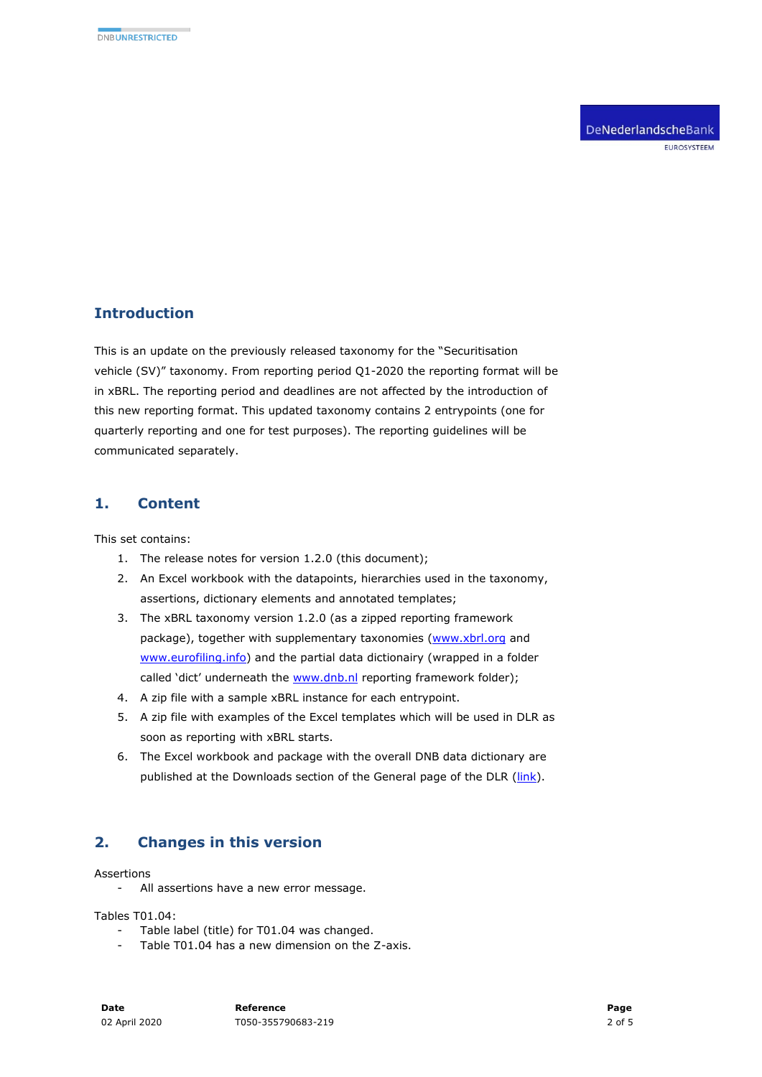DeNederlandscheBank EUROSYSTEEM

# **Introduction**

This is an update on the previously released taxonomy for the "Securitisation vehicle (SV)" taxonomy. From reporting period Q1-2020 the reporting format will be in xBRL. The reporting period and deadlines are not affected by the introduction of this new reporting format. This updated taxonomy contains 2 entrypoints (one for quarterly reporting and one for test purposes). The reporting guidelines will be communicated separately.

### **1. Content**

This set contains:

- 1. The release notes for version 1.2.0 (this document);
- 2. An Excel workbook with the datapoints, hierarchies used in the taxonomy, assertions, dictionary elements and annotated templates;
- 3. The xBRL taxonomy version 1.2.0 (as a zipped reporting framework package), together with supplementary taxonomies [\(www.xbrl.org](http://www.xbrl.org/) and [www.eurofiling.info\)](http://www.eurofiling.info/) and the partial data dictionairy (wrapped in a folder called 'dict' underneath the [www.dnb.nl](http://www.dnb.nl/) reporting framework folder);
- 4. A zip file with a sample xBRL instance for each entrypoint.
- 5. A zip file with examples of the Excel templates which will be used in DLR as soon as reporting with xBRL starts.
- 6. The Excel workbook and package with the overall DNB data dictionary are published at the Downloads section of the General page of the DLR [\(link\)](https://www.dnb.nl/statistiek/digitaal-loket-rapportages/algemeen/index.jsp).

## **2. Changes in this version**

Assertions

- All assertions have a new error message.

Tables T01.04:

- Table label (title) for T01.04 was changed.
- Table T01.04 has a new dimension on the Z-axis.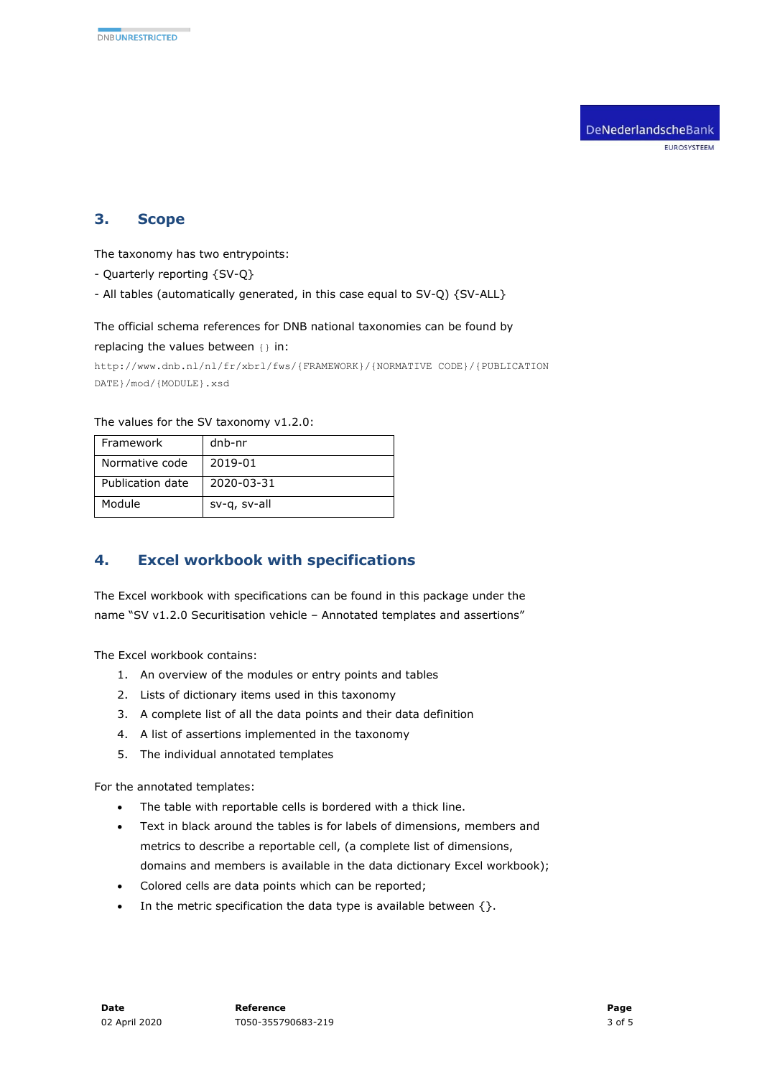### **3. Scope**

The taxonomy has two entrypoints:

- Quarterly reporting {SV-Q}
- All tables (automatically generated, in this case equal to SV-Q) {SV-ALL}

#### The official schema references for DNB national taxonomies can be found by

replacing the values between {} in:

```
http://www.dnb.nl/nl/fr/xbrl/fws/{FRAMEWORK}/{NORMATIVE CODE}/{PUBLICATION 
DATE}/mod/{MODULE}.xsd
```
#### The values for the SV taxonomy v1.2.0:

| Framework        | dnb-nr       |
|------------------|--------------|
| Normative code   | 2019-01      |
| Publication date | 2020-03-31   |
| Module           | sv-g, sv-all |

## **4. Excel workbook with specifications**

The Excel workbook with specifications can be found in this package under the name "SV v1.2.0 Securitisation vehicle – Annotated templates and assertions"

The Excel workbook contains:

- 1. An overview of the modules or entry points and tables
- 2. Lists of dictionary items used in this taxonomy
- 3. A complete list of all the data points and their data definition
- 4. A list of assertions implemented in the taxonomy
- 5. The individual annotated templates

For the annotated templates:

- The table with reportable cells is bordered with a thick line.
- Text in black around the tables is for labels of dimensions, members and metrics to describe a reportable cell, (a complete list of dimensions, domains and members is available in the data dictionary Excel workbook);
- Colored cells are data points which can be reported;
- In the metric specification the data type is available between  $\{\}.$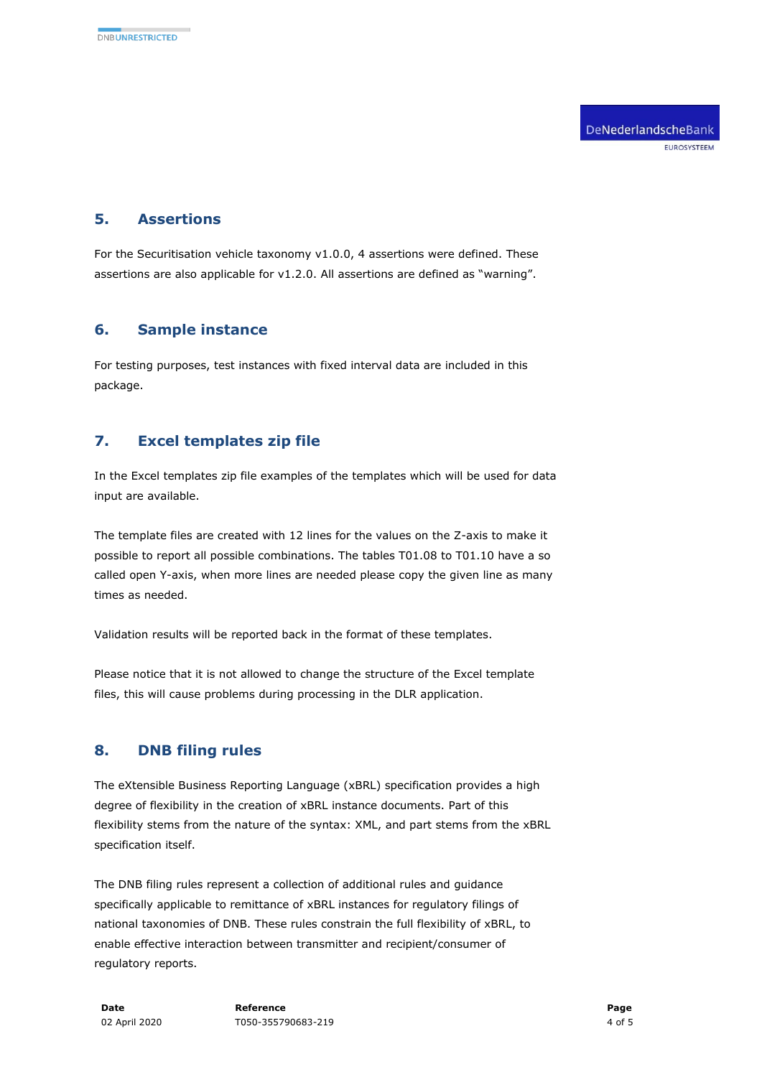### **5. Assertions**

For the Securitisation vehicle taxonomy v1.0.0, 4 assertions were defined. These assertions are also applicable for v1.2.0. All assertions are defined as "warning".

## **6. Sample instance**

For testing purposes, test instances with fixed interval data are included in this package.

# **7. Excel templates zip file**

In the Excel templates zip file examples of the templates which will be used for data input are available.

The template files are created with 12 lines for the values on the Z-axis to make it possible to report all possible combinations. The tables T01.08 to T01.10 have a so called open Y-axis, when more lines are needed please copy the given line as many times as needed.

Validation results will be reported back in the format of these templates.

Please notice that it is not allowed to change the structure of the Excel template files, this will cause problems during processing in the DLR application.

## **8. DNB filing rules**

The eXtensible Business Reporting Language (xBRL) specification provides a high degree of flexibility in the creation of xBRL instance documents. Part of this flexibility stems from the nature of the syntax: XML, and part stems from the xBRL specification itself.

The DNB filing rules represent a collection of additional rules and guidance specifically applicable to remittance of xBRL instances for regulatory filings of national taxonomies of DNB. These rules constrain the full flexibility of xBRL, to enable effective interaction between transmitter and recipient/consumer of regulatory reports.